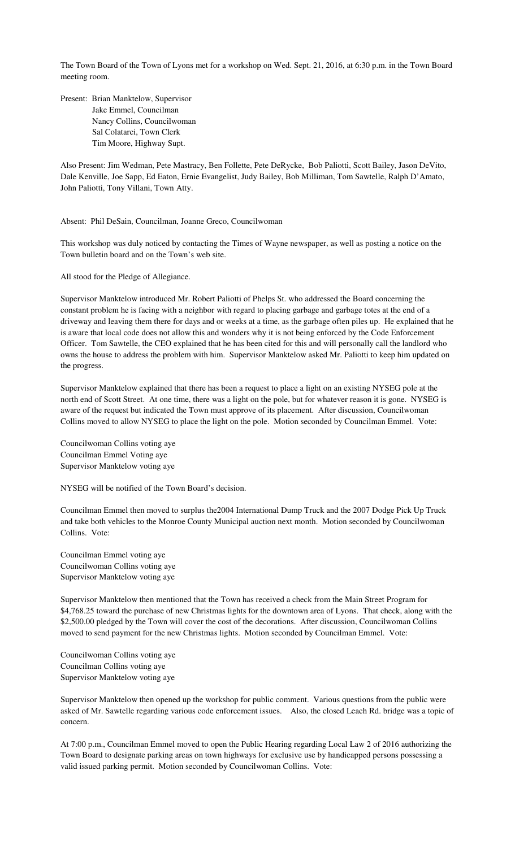The Town Board of the Town of Lyons met for a workshop on Wed. Sept. 21, 2016, at 6:30 p.m. in the Town Board meeting room.

Present: Brian Manktelow, Supervisor Jake Emmel, Councilman Nancy Collins, Councilwoman Sal Colatarci, Town Clerk Tim Moore, Highway Supt.

Also Present: Jim Wedman, Pete Mastracy, Ben Follette, Pete DeRycke, Bob Paliotti, Scott Bailey, Jason DeVito, Dale Kenville, Joe Sapp, Ed Eaton, Ernie Evangelist, Judy Bailey, Bob Milliman, Tom Sawtelle, Ralph D'Amato, John Paliotti, Tony Villani, Town Atty.

Absent: Phil DeSain, Councilman, Joanne Greco, Councilwoman

This workshop was duly noticed by contacting the Times of Wayne newspaper, as well as posting a notice on the Town bulletin board and on the Town's web site.

All stood for the Pledge of Allegiance.

Supervisor Manktelow introduced Mr. Robert Paliotti of Phelps St. who addressed the Board concerning the constant problem he is facing with a neighbor with regard to placing garbage and garbage totes at the end of a driveway and leaving them there for days and or weeks at a time, as the garbage often piles up. He explained that he is aware that local code does not allow this and wonders why it is not being enforced by the Code Enforcement Officer. Tom Sawtelle, the CEO explained that he has been cited for this and will personally call the landlord who owns the house to address the problem with him. Supervisor Manktelow asked Mr. Paliotti to keep him updated on the progress.

Supervisor Manktelow explained that there has been a request to place a light on an existing NYSEG pole at the north end of Scott Street. At one time, there was a light on the pole, but for whatever reason it is gone. NYSEG is aware of the request but indicated the Town must approve of its placement. After discussion, Councilwoman Collins moved to allow NYSEG to place the light on the pole. Motion seconded by Councilman Emmel. Vote:

Councilwoman Collins voting aye Councilman Emmel Voting aye Supervisor Manktelow voting aye

NYSEG will be notified of the Town Board's decision.

Councilman Emmel then moved to surplus the2004 International Dump Truck and the 2007 Dodge Pick Up Truck and take both vehicles to the Monroe County Municipal auction next month. Motion seconded by Councilwoman Collins. Vote:

Councilman Emmel voting aye Councilwoman Collins voting aye Supervisor Manktelow voting aye

Supervisor Manktelow then mentioned that the Town has received a check from the Main Street Program for \$4,768.25 toward the purchase of new Christmas lights for the downtown area of Lyons. That check, along with the \$2,500.00 pledged by the Town will cover the cost of the decorations. After discussion, Councilwoman Collins moved to send payment for the new Christmas lights. Motion seconded by Councilman Emmel. Vote:

Councilwoman Collins voting aye Councilman Collins voting aye Supervisor Manktelow voting aye

Supervisor Manktelow then opened up the workshop for public comment. Various questions from the public were asked of Mr. Sawtelle regarding various code enforcement issues. Also, the closed Leach Rd. bridge was a topic of concern.

At 7:00 p.m., Councilman Emmel moved to open the Public Hearing regarding Local Law 2 of 2016 authorizing the Town Board to designate parking areas on town highways for exclusive use by handicapped persons possessing a valid issued parking permit. Motion seconded by Councilwoman Collins. Vote: